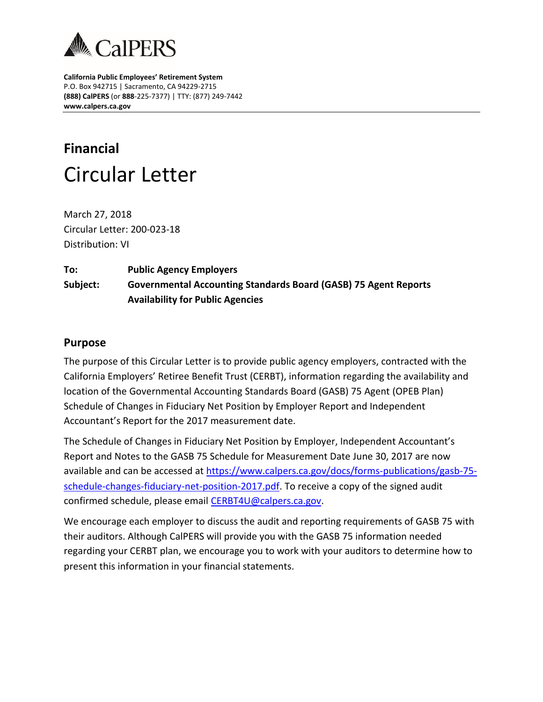

**California Public Employees' Retirement System** P.O. Box 942715 | Sacramento, CA 94229-2715 **(888) CalPERS** (or **888**-225-7377) | TTY: (877) 249-7442 **www.calpers.ca.gov**

## **Financial** Circular Letter

March 27, 2018 Circular Letter: 200-023-18 Distribution: VI

## **To: Public Agency Employers Subject: Governmental Accounting Standards Board (GASB) 75 Agent Reports Availability for Public Agencies**

## **Purpose**

The purpose of this Circular Letter is to provide public agency employers, contracted with the California Employers' Retiree Benefit Trust (CERBT), information regarding the availability and location of the Governmental Accounting Standards Board (GASB) 75 Agent (OPEB Plan) Schedule of Changes in Fiduciary Net Position by Employer Report and Independent Accountant's Report for the 2017 measurement date.

The Schedule of Changes in Fiduciary Net Position by Employer, Independent Accountant's Report and Notes to the GASB 75 Schedule for Measurement Date June 30, 2017 are now available and can be accessed at [https://www.calpers.ca.gov/docs/forms-publications/gasb-75](https://www.calpers.ca.gov/docs/forms-publications/gasb-75-schedule-changes-fiduciary-net-position-2017.pdf) [schedule-changes-fiduciary-net-position-2017.pdf.](https://www.calpers.ca.gov/docs/forms-publications/gasb-75-schedule-changes-fiduciary-net-position-2017.pdf) To receive a copy of the signed audit confirmed schedule, please email [CERBT4U@calpers.ca.gov.](mailto:CERBT4U@calpers.ca.gov)

We encourage each employer to discuss the audit and reporting requirements of GASB 75 with their auditors. Although CalPERS will provide you with the GASB 75 information needed regarding your CERBT plan, we encourage you to work with your auditors to determine how to present this information in your financial statements.